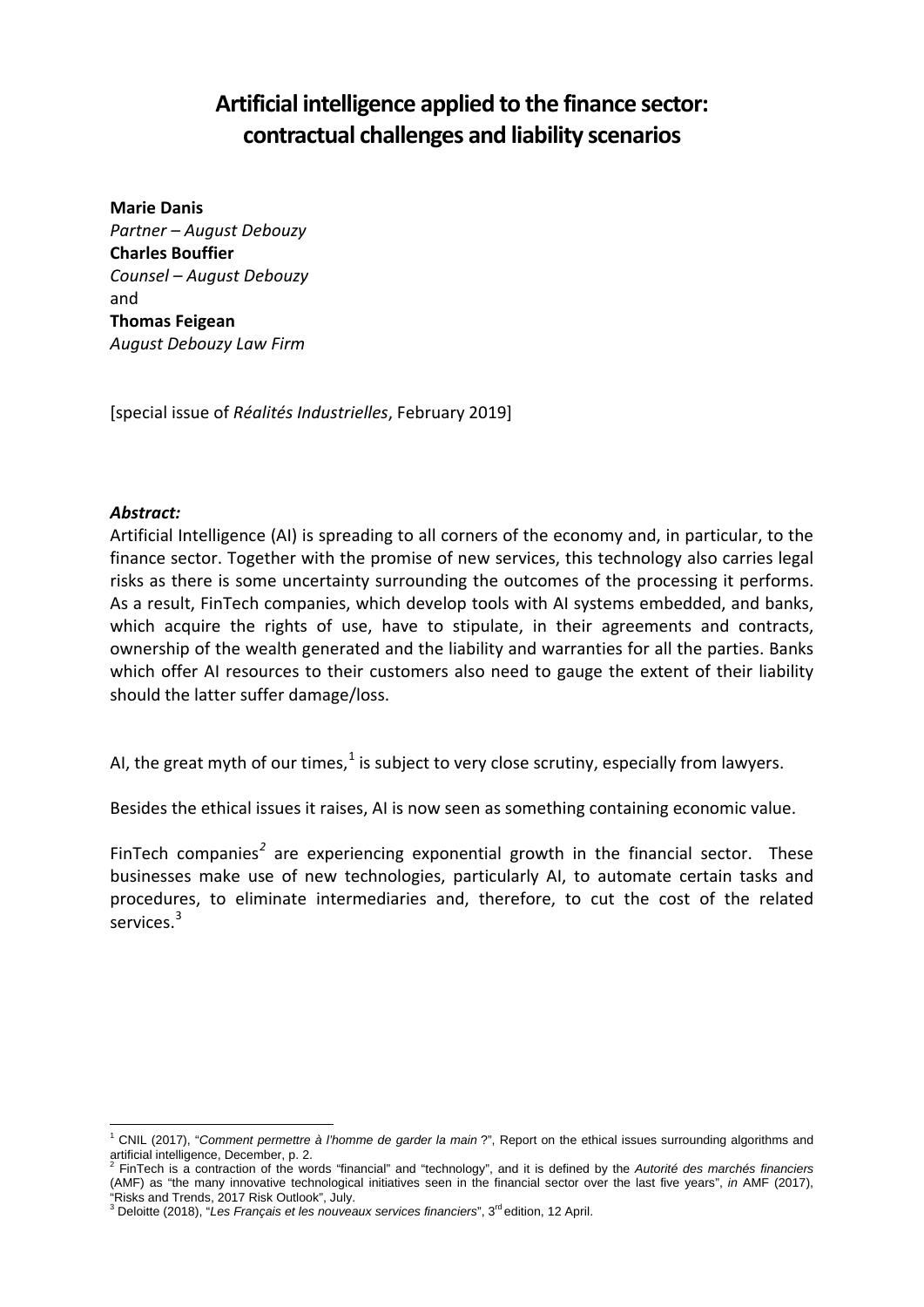# **Artificial intelligence applied to the finance sector: contractual challenges and liability scenarios**

**Marie Danis** *Partner – August Debouzy* **Charles Bouffier** *Counsel – August Debouzy* and **Thomas Feigean** *August Debouzy Law Firm* 

[special issue of *Réalités Industrielles*, February 2019]

### *Abstract:*

Artificial Intelligence (AI) is spreading to all corners of the economy and, in particular, to the finance sector. Together with the promise of new services, this technology also carries legal risks as there is some uncertainty surrounding the outcomes of the processing it performs. As a result, FinTech companies, which develop tools with AI systems embedded, and banks, which acquire the rights of use, have to stipulate, in their agreements and contracts, ownership of the wealth generated and the liability and warranties for all the parties. Banks which offer AI resources to their customers also need to gauge the extent of their liability should the latter suffer damage/loss.

AI, the great myth of our times, $<sup>1</sup>$  $<sup>1</sup>$  $<sup>1</sup>$  is subject to very close scrutiny, especially from lawyers.</sup>

Besides the ethical issues it raises, AI is now seen as something containing economic value.

FinTech companies*[2](#page-0-1)* are experiencing exponential growth in the financial sector. These businesses make use of new technologies, particularly AI, to automate certain tasks and procedures, to eliminate intermediaries and, therefore, to cut the cost of the related services.<sup>[3](#page-0-2)</sup>

<span id="page-0-0"></span> <sup>1</sup> CNIL (2017), "*Comment permettre à l'homme de garder la main* ?", Report on the ethical issues surrounding algorithms and

<span id="page-0-1"></span>FinTech is a contraction of the words "financial" and "technology", and it is defined by the Autorité des marchés financiers (AMF) as "the many innovative technological initiatives seen in the financial sector over the last five years", *in* AMF (2017),

<span id="page-0-2"></span><sup>&</sup>lt;sup>3</sup> Deloitte (2018), "Les Français et les nouveaux services financiers", 3<sup>rd</sup> edition, 12 April.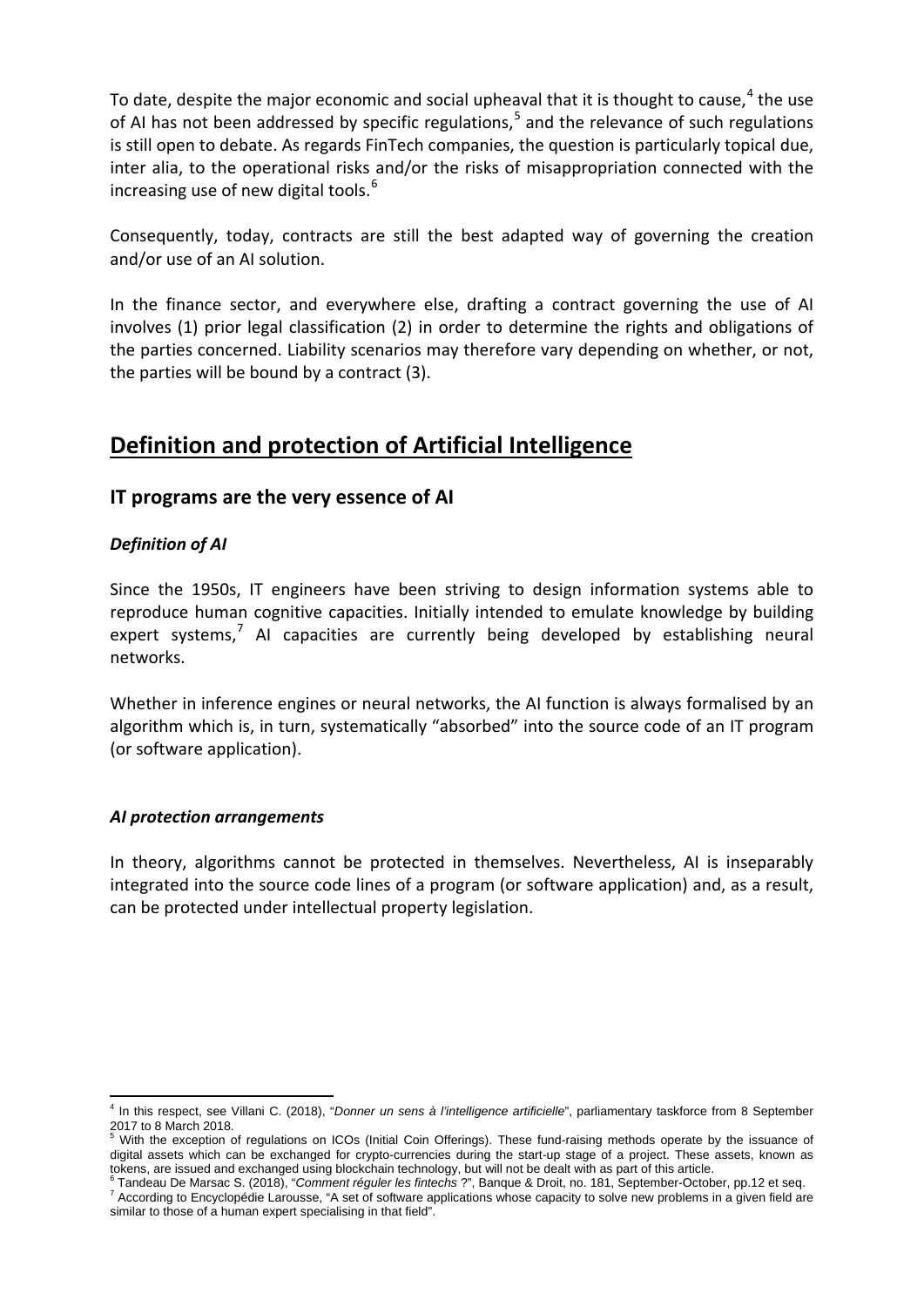To date, despite the major economic and social upheaval that it is thought to cause,  $4$  the use of AI has not been addressed by specific regulations,<sup>[5](#page-1-1)</sup> and the relevance of such regulations is still open to debate. As regards FinTech companies, the question is particularly topical due, inter alia, to the operational risks and/or the risks of misappropriation connected with the increasing use of new digital tools.<sup>[6](#page-1-2)</sup>

Consequently, today, contracts are still the best adapted way of governing the creation and/or use of an AI solution.

In the finance sector, and everywhere else, drafting a contract governing the use of AI involves (1) prior legal classification (2) in order to determine the rights and obligations of the parties concerned. Liability scenarios may therefore vary depending on whether, or not, the parties will be bound by a contract (3).

# **Definition and protection of Artificial Intelligence**

### **IT programs are the very essence of AI**

### *Definition of AI*

Since the 1950s, IT engineers have been striving to design information systems able to reproduce human cognitive capacities. Initially intended to emulate knowledge by building expert systems,<sup>[7](#page-1-3)</sup> AI capacities are currently being developed by establishing neural networks.

Whether in inference engines or neural networks, the AI function is always formalised by an algorithm which is, in turn, systematically "absorbed" into the source code of an IT program (or software application).

### *AI protection arrangements*

In theory, algorithms cannot be protected in themselves. Nevertheless, AI is inseparably integrated into the source code lines of a program (or software application) and, as a result, can be protected under intellectual property legislation.

<span id="page-1-0"></span> <sup>4</sup> In this respect, see Villani C. (2018), "*Donner un sens à l'intelligence artificielle*", parliamentary taskforce from 8 September 2017 to 8 March 2018.

<span id="page-1-1"></span><sup>5</sup> With the exception of regulations on ICOs (Initial Coin Offerings). These fund-raising methods operate by the issuance of digital assets which can be exchanged for crypto-currencies during the start-up stage of a project. These assets, known as tokens, are issued and exchanged using blockchain technology, but will not be dealt with as part of this article.<br><sup>6</sup> Tandeau De Marsac S. (2018), "*Comment réguler les fintechs* ?", Banque & Droit, no. 181, September-Octo

<span id="page-1-3"></span><span id="page-1-2"></span><sup>7</sup> According to Encyclopédie Larousse, "A set of software applications whose capacity to solve new problems in a given field are similar to those of a human expert specialising in that field".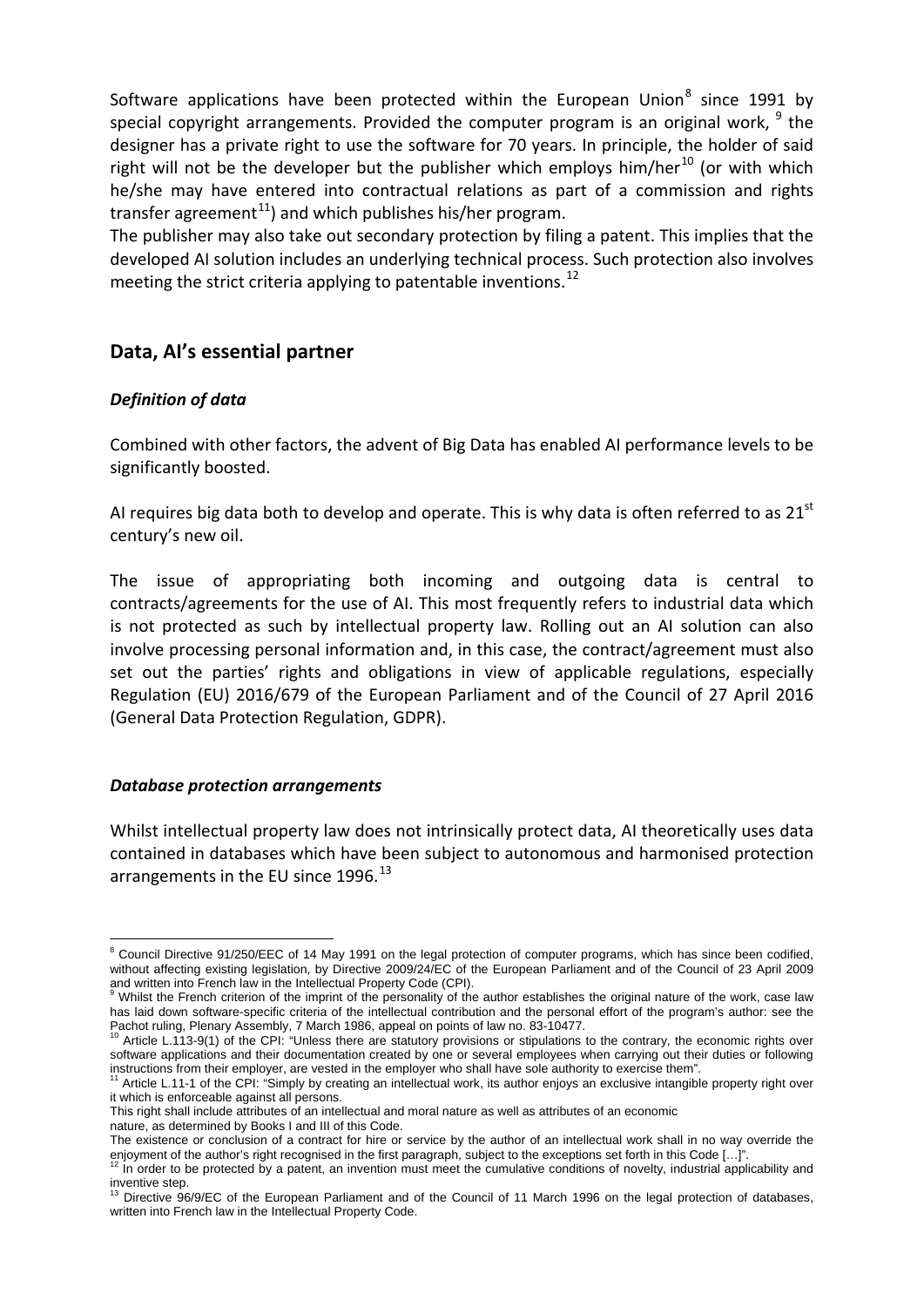Software applications have been protected within the European Union $8$  since 1991 by special copyright arrangements. Provided the computer program is an original work,  $9$  the designer has a private right to use the software for 70 years. In principle, the holder of said right will not be the developer but the publisher which employs him/her $^{10}$  $^{10}$  $^{10}$  (or with which he/she may have entered into contractual relations as part of a commission and rights transfer agreement<sup>[11](#page-2-3)</sup>) and which publishes his/her program.

The publisher may also take out secondary protection by filing a patent. This implies that the developed AI solution includes an underlying technical process. Such protection also involves meeting the strict criteria applying to patentable inventions.<sup>[12](#page-2-4)</sup>

### **Data, AI's essential partner**

### *Definition of data*

Combined with other factors, the advent of Big Data has enabled AI performance levels to be significantly boosted.

AI requires big data both to develop and operate. This is why data is often referred to as  $21^{st}$ century's new oil.

The issue of appropriating both incoming and outgoing data is central to contracts/agreements for the use of AI. This most frequently refers to industrial data which is not protected as such by intellectual property law. Rolling out an AI solution can also involve processing personal information and, in this case, the contract/agreement must also set out the parties' rights and obligations in view of applicable regulations, especially Regulation (EU) 2016/679 of the European Parliament and of the Council of 27 April 2016 (General Data Protection Regulation, GDPR).

### *Database protection arrangements*

Whilst intellectual property law does not intrinsically protect data, AI theoretically uses data contained in databases which have been subject to autonomous and harmonised protection arrangements in the EU since 1996.<sup>[13](#page-2-5)</sup>

nature, as determined by Books I and III of this Code.

<span id="page-2-0"></span><sup>&</sup>lt;sup>8</sup> Council Directive 91/250/EEC of 14 May 1991 on the legal protection of computer programs, which has since been codified, without affecting existing legislation, by Directive 2009/24/EC of the European Parliament and of the Council of 23 April 2009 and written into French law in the Intellectual Property Code (CPI).

<span id="page-2-1"></span>Whilst the French criterion of the imprint of the personality of the author establishes the original nature of the work, case law has laid down software-specific criteria of the intellectual contribution and the personal effort of the program's author: see the Pachot ruling, Plenary Assembly, 7 March 1986, appeal on points of law no. 83-10477.

<span id="page-2-2"></span>Pachot ruling, Plenary Assembly, 2 March 1986, and provisions or stipulations to the contrary, the economic rights over software applications and their documentation created by one or several employees when carrying out their duties or following instructions from their employer, are vested in the employer who shall have sole authority to ex

<span id="page-2-3"></span><sup>&</sup>lt;sup>1</sup> Article L.11-1 of the CPI: "Simply by creating an intellectual work, its author enjoys an exclusive intangible property right over it which is enforceable against all persons.

This right shall include attributes of an intellectual and moral nature as well as attributes of an economic

The existence or conclusion of a contract for hire or service by the author of an intellectual work shall in no way override the enjoyment of the author's right recognised in the first paragraph, subject to the exceptions set forth in this Code [...]".<br><sup>12</sup> In order to be protected by a patent, an invention must meet the cumulative conditions of nov

<span id="page-2-4"></span>inventive step.<br><sup>13</sup> Directive 96/9/EC of the European Parliament and of the Council of 11 March 1996 on the legal protection of databases,

<span id="page-2-5"></span>written into French law in the Intellectual Property Code.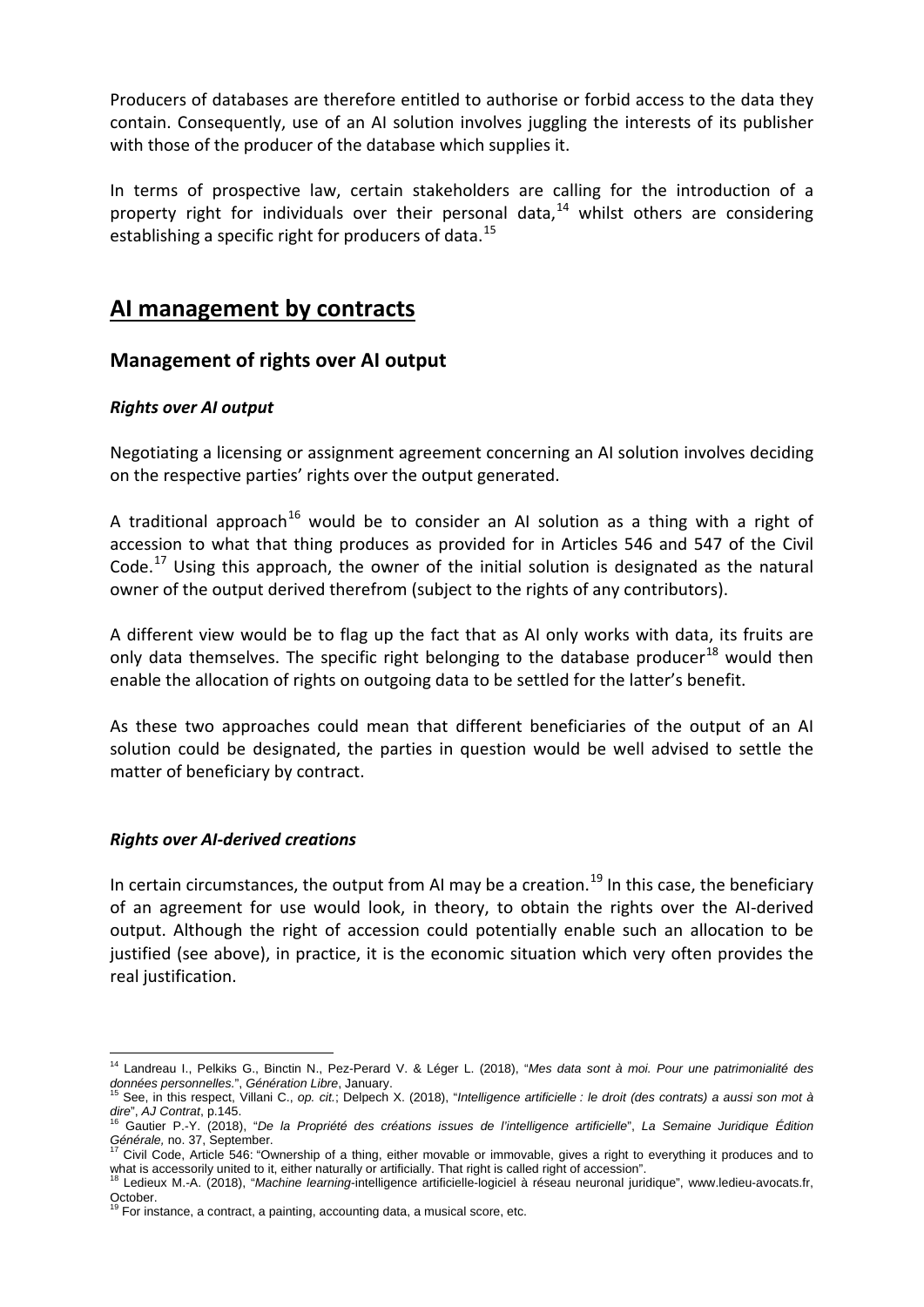Producers of databases are therefore entitled to authorise or forbid access to the data they contain. Consequently, use of an AI solution involves juggling the interests of its publisher with those of the producer of the database which supplies it.

In terms of prospective law, certain stakeholders are calling for the introduction of a property right for individuals over their personal data.<sup>[14](#page-3-0)</sup> whilst others are considering establishing a specific right for producers of data.<sup>[15](#page-3-1)</sup>

## **AI management by contracts**

### **Management of rights over AI output**

### *Rights over AI output*

Negotiating a licensing or assignment agreement concerning an AI solution involves deciding on the respective parties' rights over the output generated.

A traditional approach<sup>[16](#page-3-2)</sup> would be to consider an AI solution as a thing with a right of accession to what that thing produces as provided for in Articles 546 and 547 of the Civil Code.<sup>[17](#page-3-3)</sup> Using this approach, the owner of the initial solution is designated as the natural owner of the output derived therefrom (subject to the rights of any contributors).

A different view would be to flag up the fact that as AI only works with data, its fruits are only data themselves. The specific right belonging to the database producer<sup>[18](#page-3-4)</sup> would then enable the allocation of rights on outgoing data to be settled for the latter's benefit.

As these two approaches could mean that different beneficiaries of the output of an AI solution could be designated, the parties in question would be well advised to settle the matter of beneficiary by contract.

### *Rights over AI-derived creations*

In certain circumstances, the output from AI may be a creation.<sup>[19](#page-3-5)</sup> In this case, the beneficiary of an agreement for use would look, in theory, to obtain the rights over the AI-derived output. Although the right of accession could potentially enable such an allocation to be justified (see above), in practice, it is the economic situation which very often provides the real justification.

<span id="page-3-0"></span> <sup>14</sup> Landreau I., Pelkiks G., Binctin N., Pez-Perard V. & Léger L. (2018), "*Mes data sont à moi. Pour une patrimonialité des*  données personnelles.", Génération Libre, January.<br><sup>15</sup> See, in this respect, Villani C., op. cit.; Delpech X. (2018), "*Intelligence artificielle : le droit (des contrats) a aussi son mot à* 

<span id="page-3-2"></span><span id="page-3-1"></span>dire", *AJ Contrat*, p.145.<br><sup>16</sup> Gautier P.-Y. (2018), "*De la Propriété des créations issues de l'intelligence artificielle*", *La Semaine Juridique Édition*<br>Générale, no. 37, September.

<span id="page-3-3"></span>Civil Code, Article 546: "Ownership of a thing, either movable or immovable, gives a right to everything it produces and to what is accessorily united to it, either naturally or artificially. That right is called right of accession".<br><sup>18</sup> Ledieux M.-A. (2018), "Machine learning-intelligence artificially. That right is called right of accession"

<span id="page-3-4"></span>October.<br><sup>19</sup> For instance, a contract, a painting, accounting data, a musical score, etc.

<span id="page-3-5"></span>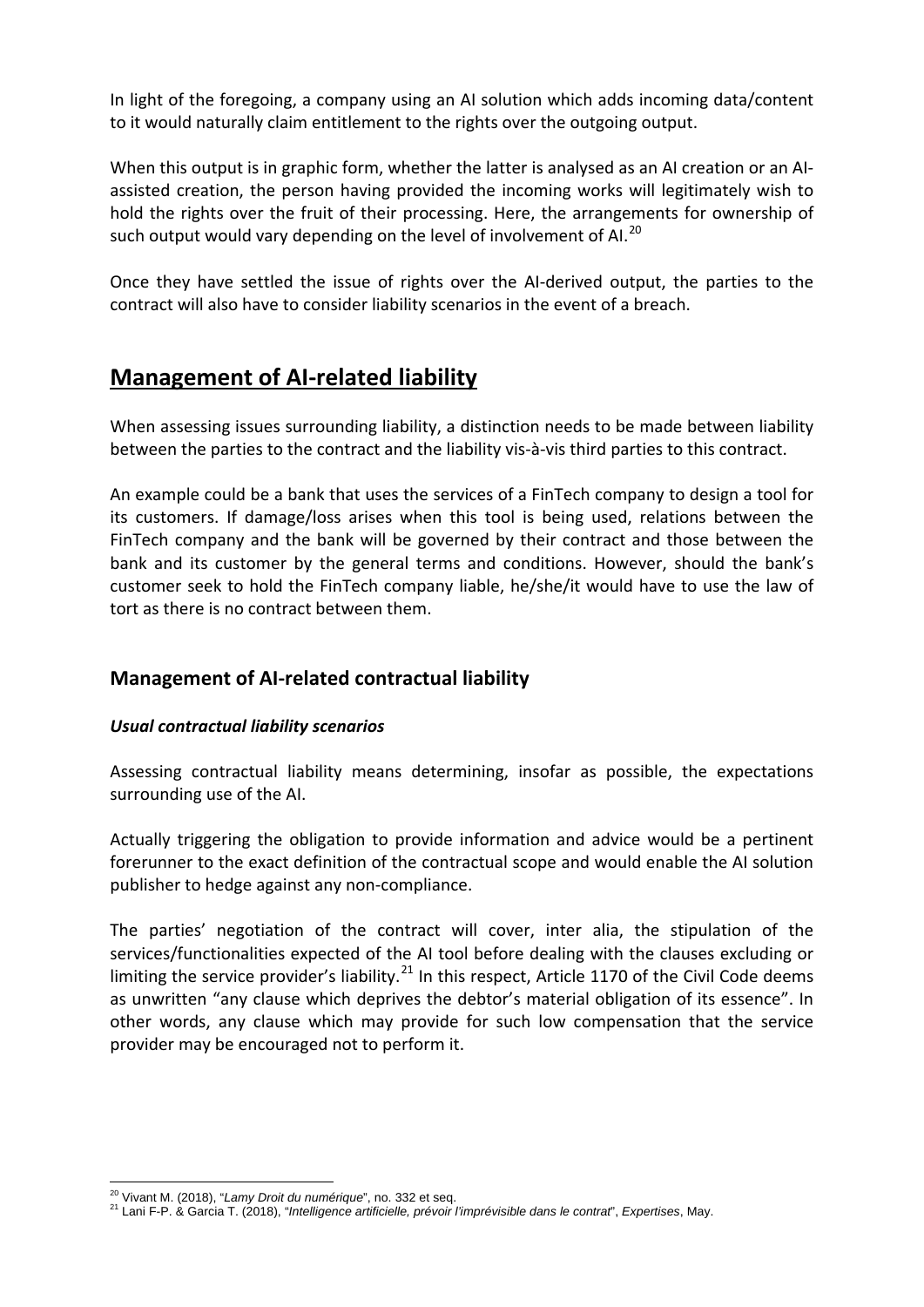In light of the foregoing, a company using an AI solution which adds incoming data/content to it would naturally claim entitlement to the rights over the outgoing output.

When this output is in graphic form, whether the latter is analysed as an AI creation or an AIassisted creation, the person having provided the incoming works will legitimately wish to hold the rights over the fruit of their processing. Here, the arrangements for ownership of such output would vary depending on the level of involvement of AI.<sup>[20](#page-4-0)</sup>

Once they have settled the issue of rights over the AI-derived output, the parties to the contract will also have to consider liability scenarios in the event of a breach.

# **Management of AI-related liability**

When assessing issues surrounding liability, a distinction needs to be made between liability between the parties to the contract and the liability vis-à-vis third parties to this contract.

An example could be a bank that uses the services of a FinTech company to design a tool for its customers. If damage/loss arises when this tool is being used, relations between the FinTech company and the bank will be governed by their contract and those between the bank and its customer by the general terms and conditions. However, should the bank's customer seek to hold the FinTech company liable, he/she/it would have to use the law of tort as there is no contract between them.

## **Management of AI-related contractual liability**

### *Usual contractual liability scenarios*

Assessing contractual liability means determining, insofar as possible, the expectations surrounding use of the AI.

Actually triggering the obligation to provide information and advice would be a pertinent forerunner to the exact definition of the contractual scope and would enable the AI solution publisher to hedge against any non-compliance.

The parties' negotiation of the contract will cover, inter alia, the stipulation of the services/functionalities expected of the AI tool before dealing with the clauses excluding or limiting the service provider's liability.<sup>[21](#page-4-1)</sup> In this respect, Article 1170 of the Civil Code deems as unwritten "any clause which deprives the debtor's material obligation of its essence". In other words, any clause which may provide for such low compensation that the service provider may be encouraged not to perform it.

<span id="page-4-1"></span><span id="page-4-0"></span>

<sup>&</sup>lt;sup>20</sup> Vivant M. (2018), "*Lamy Droit du numérique*", no. 332 et seq.<br><sup>21</sup> Lani F-P. & Garcia T. (2018), "*Intelligence artificielle, prévoir l'imprévisible dans le contrat*", *Expertises*, May.